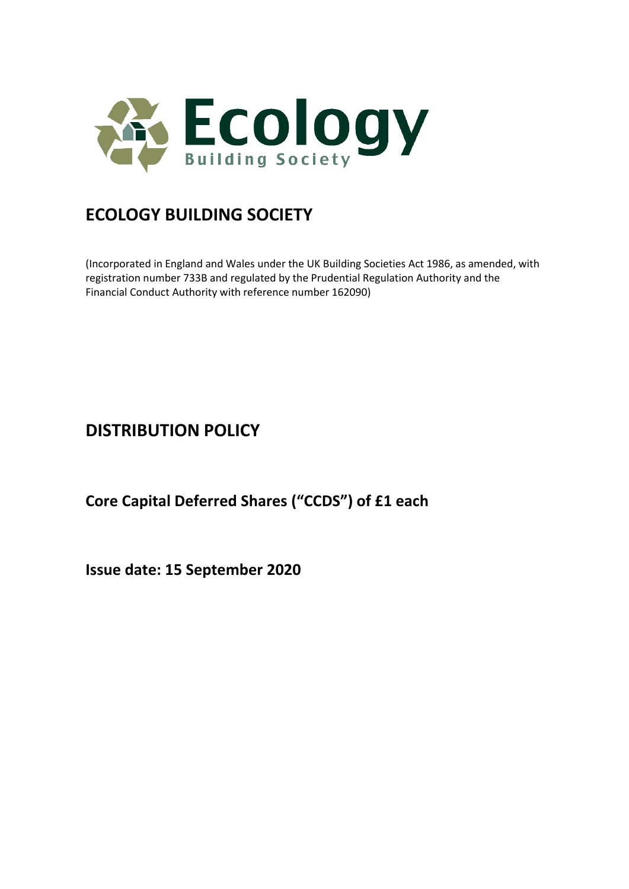

## **ECOLOGY BUILDING SOCIETY**

(Incorporated in England and Wales under the UK Building Societies Act 1986, as amended, with registration number 733B and regulated by the Prudential Regulation Authority and the Financial Conduct Authority with reference number 162090)

## **DISTRIBUTION POLICY**

**Core Capital Deferred Shares ("CCDS") of £1 each** 

**Issue date: 15 September 2020**